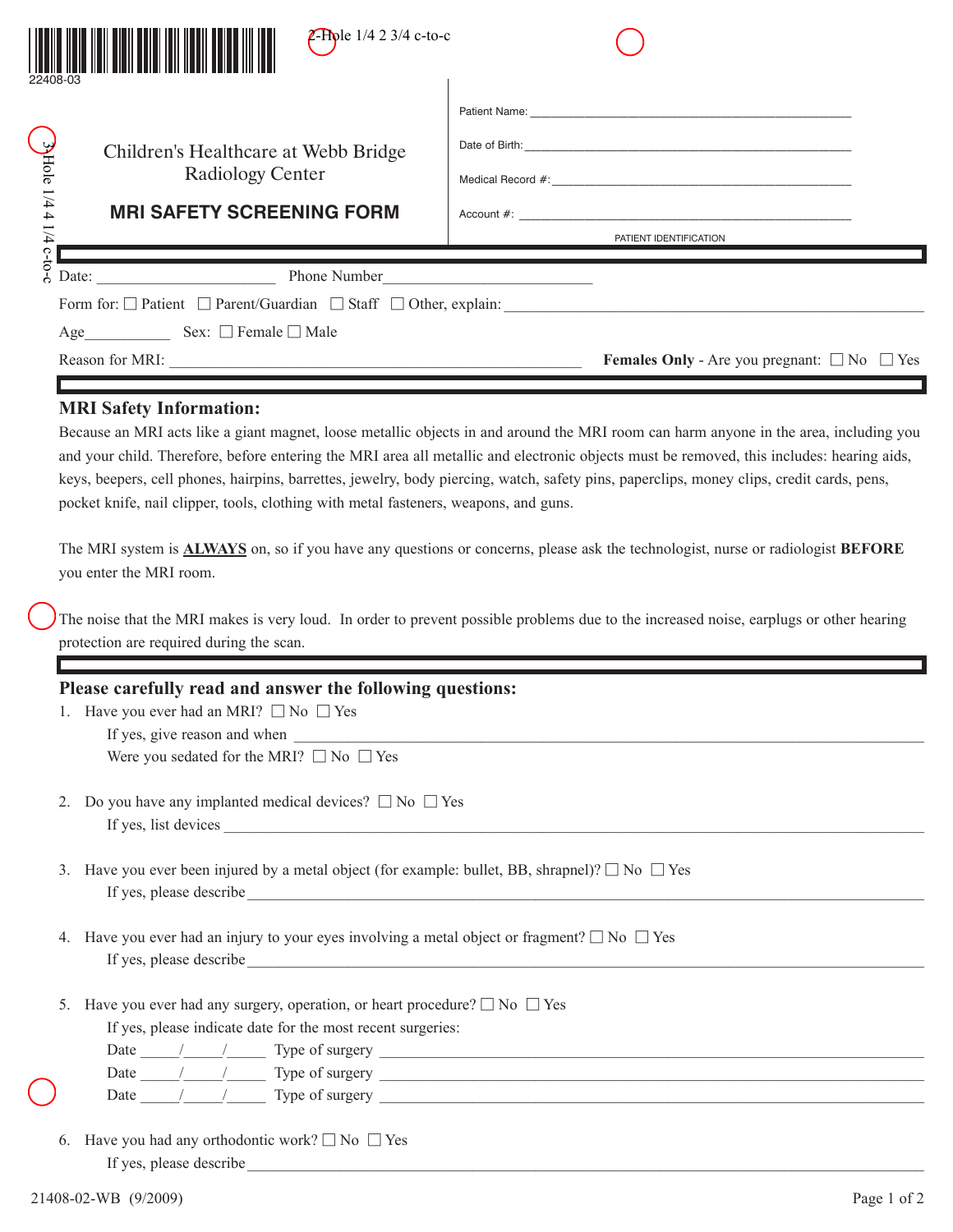|                                                      | $2$ -Piple 1/4 2 3/4 c-to-c                                                                                  |                                                                                                                                                                                                                                                                                         |  |  |  |  |
|------------------------------------------------------|--------------------------------------------------------------------------------------------------------------|-----------------------------------------------------------------------------------------------------------------------------------------------------------------------------------------------------------------------------------------------------------------------------------------|--|--|--|--|
|                                                      |                                                                                                              |                                                                                                                                                                                                                                                                                         |  |  |  |  |
|                                                      | Children's Healthcare at Webb Bridge                                                                         |                                                                                                                                                                                                                                                                                         |  |  |  |  |
| $3\text{Hole}$ 1/4 4 1/4 $\overline{\text{c}}$ -to-c | <b>Radiology Center</b>                                                                                      |                                                                                                                                                                                                                                                                                         |  |  |  |  |
|                                                      | <b>MRI SAFETY SCREENING FORM</b>                                                                             |                                                                                                                                                                                                                                                                                         |  |  |  |  |
|                                                      |                                                                                                              | PATIENT IDENTIFICATION                                                                                                                                                                                                                                                                  |  |  |  |  |
|                                                      | Date: $\frac{1}{2}$                                                                                          |                                                                                                                                                                                                                                                                                         |  |  |  |  |
|                                                      |                                                                                                              | Form for: $\Box$ Patient $\Box$ Parent/Guardian $\Box$ Staff $\Box$ Other, explain:                                                                                                                                                                                                     |  |  |  |  |
|                                                      |                                                                                                              |                                                                                                                                                                                                                                                                                         |  |  |  |  |
|                                                      |                                                                                                              | <b>Females Only</b> - Are you pregnant: $\Box$ No $\Box$ Yes                                                                                                                                                                                                                            |  |  |  |  |
|                                                      | you enter the MRI room.<br>protection are required during the scan.                                          | The MRI system is <b>ALWAYS</b> on, so if you have any questions or concerns, please ask the technologist, nurse or radiologist <b>BEFORE</b><br>The noise that the MRI makes is very loud. In order to prevent possible problems due to the increased noise, earplugs or other hearing |  |  |  |  |
|                                                      | Please carefully read and answer the following questions:                                                    |                                                                                                                                                                                                                                                                                         |  |  |  |  |
|                                                      | 1. Have you ever had an MRI? $\Box$ No $\Box$ Yes                                                            |                                                                                                                                                                                                                                                                                         |  |  |  |  |
|                                                      | Were you sedated for the MRI? $\Box$ No $\Box$ Yes                                                           |                                                                                                                                                                                                                                                                                         |  |  |  |  |
| 2.                                                   | Do you have any implanted medical devices? $\square$ No $\square$ Yes                                        |                                                                                                                                                                                                                                                                                         |  |  |  |  |
| 3.                                                   | Have you ever been injured by a metal object (for example: bullet, BB, shrapnel)? $\square$ No $\square$ Yes |                                                                                                                                                                                                                                                                                         |  |  |  |  |
| 4.                                                   | Have you ever had an injury to your eyes involving a metal object or fragment? $\square$ No $\square$ Yes    |                                                                                                                                                                                                                                                                                         |  |  |  |  |
| 5.                                                   | Have you ever had any surgery, operation, or heart procedure? $\square$ No $\square$ Yes                     |                                                                                                                                                                                                                                                                                         |  |  |  |  |

Date  $\frac{1}{\sqrt{1-\frac{1}{2}}\sqrt{1-\frac{1}{2}}\sqrt{1-\frac{1}{2}}\sqrt{1-\frac{1}{2}}\sqrt{1-\frac{1}{2}}\sqrt{1-\frac{1}{2}}\sqrt{1-\frac{1}{2}}\sqrt{1-\frac{1}{2}}\sqrt{1-\frac{1}{2}}\sqrt{1-\frac{1}{2}}\sqrt{1-\frac{1}{2}}\sqrt{1-\frac{1}{2}}\sqrt{1-\frac{1}{2}}\sqrt{1-\frac{1}{2}}\sqrt{1-\frac{1}{2}}\sqrt{1-\frac{1}{2}}\sqrt{1-\frac{1}{2}}\sqrt{1-\frac{1}{2}}\sqrt{1-\frac{1}{2}}\$ 

6. Have you had any orthodontic work?  $\square$  No  $\square$  Yes If yes, please describe\_\_\_\_\_\_\_\_\_\_\_\_\_\_\_\_\_\_\_\_\_\_\_\_\_\_\_\_\_\_\_\_\_\_\_\_\_\_\_\_\_\_\_\_\_\_\_\_\_\_\_\_\_\_\_\_\_\_\_\_\_\_\_\_\_\_\_\_\_\_\_\_\_\_\_\_\_\_\_\_\_\_\_\_\_\_\_